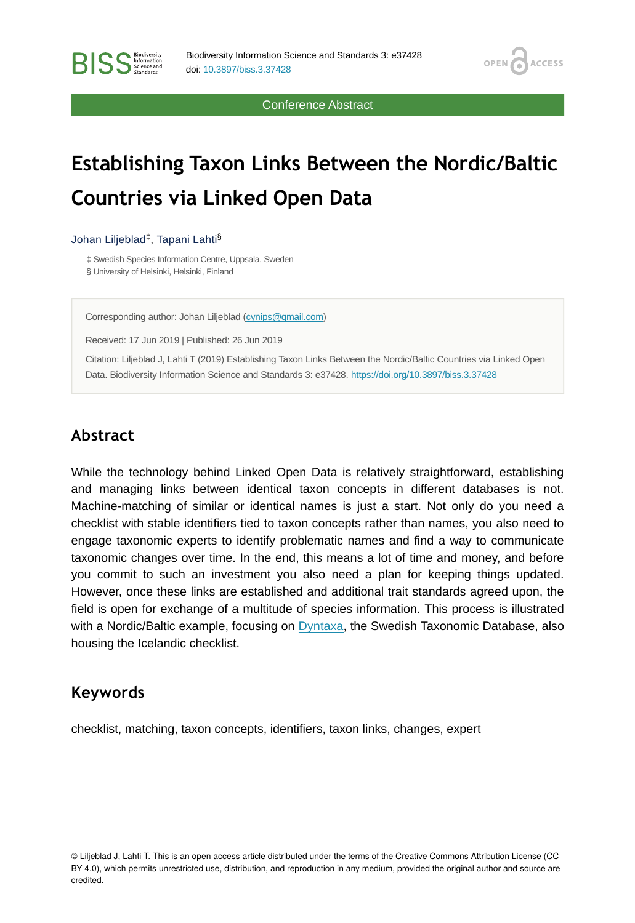Conference Abstract

OPEN<sub>C</sub>

**ACCESS** 

# **Establishing Taxon Links Between the Nordic/Baltic Countries via Linked Open Data**

#### Johan Liljeblad<sup>‡</sup>, Tapani Lahti<sup>§</sup>

**RISS** Science and

‡ Swedish Species Information Centre, Uppsala, Sweden § University of Helsinki, Helsinki, Finland

Corresponding author: Johan Liljeblad [\(cynips@gmail.com\)](mailto:cynips@gmail.com)

Received: 17 Jun 2019 | Published: 26 Jun 2019

Citation: Liljeblad J, Lahti T (2019) Establishing Taxon Links Between the Nordic/Baltic Countries via Linked Open Data. Biodiversity Information Science and Standards 3: e37428.<https://doi.org/10.3897/biss.3.37428>

### **Abstract**

While the technology behind Linked Open Data is relatively straightforward, establishing and managing links between identical taxon concepts in different databases is not. Machine-matching of similar or identical names is just a start. Not only do you need a checklist with stable identifiers tied to taxon concepts rather than names, you also need to engage taxonomic experts to identify problematic names and find a way to communicate taxonomic changes over time. In the end, this means a lot of time and money, and before you commit to such an investment you also need a plan for keeping things updated. However, once these links are established and additional trait standards agreed upon, the field is open for exchange of a multitude of species information. This process is illustrated with a Nordic/Baltic example, focusing on [Dyntaxa,](https://www.dyntaxa.se/) the Swedish Taxonomic Database, also housing the Icelandic checklist.

#### **Keywords**

checklist, matching, taxon concepts, identifiers, taxon links, changes, expert